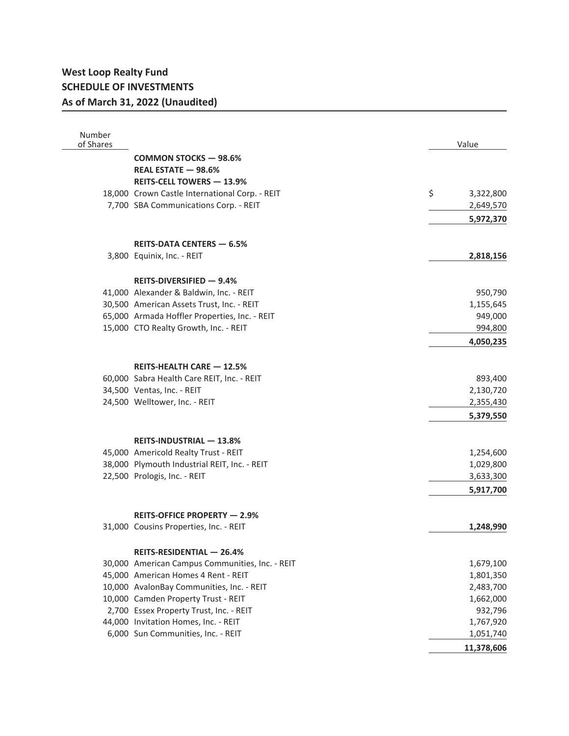## **West Loop Realty Fund SCHEDULE OF INVESTMENTS As of March 31, 2022 (Unaudited)**

| Number<br>of Shares |                                                 | Value           |
|---------------------|-------------------------------------------------|-----------------|
|                     | <b>COMMON STOCKS - 98.6%</b>                    |                 |
|                     | REAL ESTATE - 98.6%                             |                 |
|                     | <b>REITS-CELL TOWERS - 13.9%</b>                |                 |
|                     | 18,000 Crown Castle International Corp. - REIT  | \$<br>3,322,800 |
|                     | 7,700 SBA Communications Corp. - REIT           | 2,649,570       |
|                     |                                                 | 5,972,370       |
|                     |                                                 |                 |
|                     | <b>REITS-DATA CENTERS - 6.5%</b>                |                 |
|                     | 3,800 Equinix, Inc. - REIT                      | 2,818,156       |
|                     | REITS-DIVERSIFIED $-9.4%$                       |                 |
|                     | 41,000 Alexander & Baldwin, Inc. - REIT         | 950,790         |
|                     | 30,500 American Assets Trust, Inc. - REIT       | 1,155,645       |
|                     | 65,000 Armada Hoffler Properties, Inc. - REIT   | 949,000         |
|                     | 15,000 CTO Realty Growth, Inc. - REIT           | 994,800         |
|                     |                                                 | 4,050,235       |
|                     | <b>REITS-HEALTH CARE - 12.5%</b>                |                 |
|                     | 60,000 Sabra Health Care REIT, Inc. - REIT      | 893,400         |
|                     | 34,500 Ventas, Inc. - REIT                      | 2,130,720       |
|                     | 24,500 Welltower, Inc. - REIT                   | 2,355,430       |
|                     |                                                 | 5,379,550       |
|                     | <b>REITS-INDUSTRIAL - 13.8%</b>                 |                 |
|                     | 45,000 Americold Realty Trust - REIT            | 1,254,600       |
|                     | 38,000 Plymouth Industrial REIT, Inc. - REIT    | 1,029,800       |
|                     | 22,500 Prologis, Inc. - REIT                    | 3,633,300       |
|                     |                                                 | 5,917,700       |
|                     |                                                 |                 |
|                     | REITS-OFFICE PROPERTY - 2.9%                    |                 |
|                     | 31,000 Cousins Properties, Inc. - REIT          | 1,248,990       |
|                     | REITS-RESIDENTIAL - 26.4%                       |                 |
|                     | 30,000 American Campus Communities, Inc. - REIT | 1,679,100       |
|                     | 45,000 American Homes 4 Rent - REIT             | 1,801,350       |
|                     | 10,000 AvalonBay Communities, Inc. - REIT       | 2,483,700       |
|                     | 10,000 Camden Property Trust - REIT             | 1,662,000       |
|                     | 2,700 Essex Property Trust, Inc. - REIT         | 932,796         |
|                     | 44,000 Invitation Homes, Inc. - REIT            | 1,767,920       |
|                     | 6,000 Sun Communities, Inc. - REIT              | 1,051,740       |
|                     |                                                 | 11,378,606      |